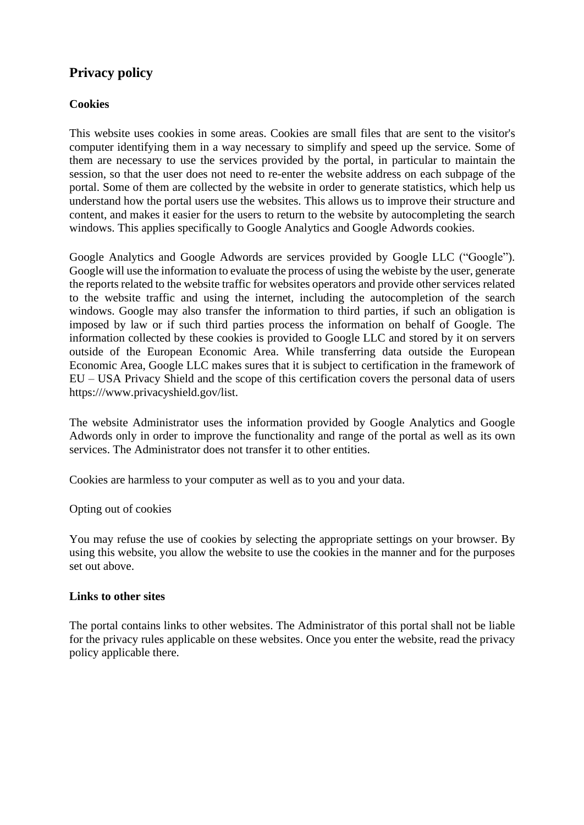# **Privacy policy**

## **Cookies**

This website uses cookies in some areas. Cookies are small files that are sent to the visitor's computer identifying them in a way necessary to simplify and speed up the service. Some of them are necessary to use the services provided by the portal, in particular to maintain the session, so that the user does not need to re-enter the website address on each subpage of the portal. Some of them are collected by the website in order to generate statistics, which help us understand how the portal users use the websites. This allows us to improve their structure and content, and makes it easier for the users to return to the website by autocompleting the search windows. This applies specifically to Google Analytics and Google Adwords cookies.

Google Analytics and Google Adwords are services provided by Google LLC ("Google"). Google will use the information to evaluate the process of using the webiste by the user, generate the reports related to the website traffic for websites operators and provide other services related to the website traffic and using the internet, including the autocompletion of the search windows. Google may also transfer the information to third parties, if such an obligation is imposed by law or if such third parties process the information on behalf of Google. The information collected by these cookies is provided to Google LLC and stored by it on servers outside of the European Economic Area. While transferring data outside the European Economic Area, Google LLC makes sures that it is subject to certification in the framework of EU – USA Privacy Shield and the scope of this certification covers the personal data of users https:/[//www.privacyshield.gov/list.](http://www.privacyshield.gov/list)

The website Administrator uses the information provided by Google Analytics and Google Adwords only in order to improve the functionality and range of the portal as well as its own services. The Administrator does not transfer it to other entities.

Cookies are harmless to your computer as well as to you and your data.

Opting out of cookies

You may refuse the use of cookies by selecting the appropriate settings on your browser. By using this website, you allow the website to use the cookies in the manner and for the purposes set out above.

## **Links to other sites**

The portal contains links to other websites. The Administrator of this portal shall not be liable for the privacy rules applicable on these websites. Once you enter the website, read the privacy policy applicable there.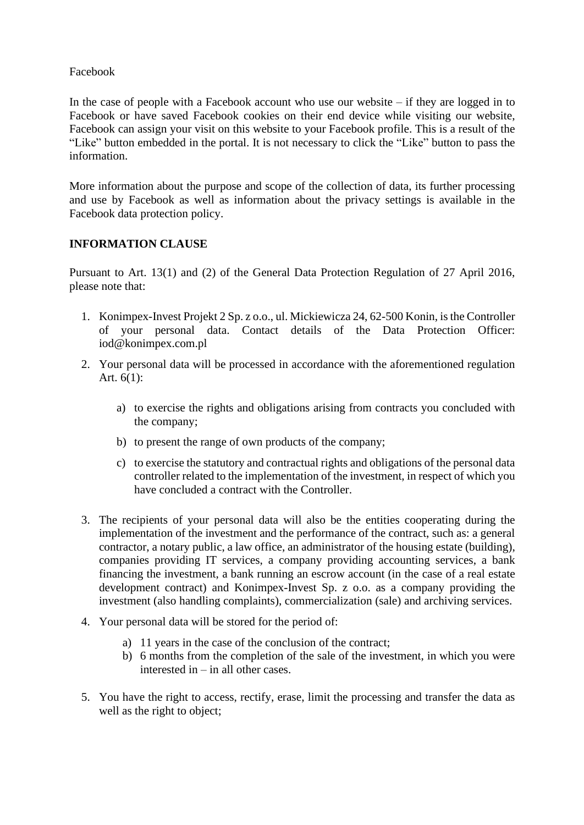### Facebook

In the case of people with a Facebook account who use our website  $-$  if they are logged in to Facebook or have saved Facebook cookies on their end device while visiting our website, Facebook can assign your visit on this website to your Facebook profile. This is a result of the "Like" button embedded in the portal. It is not necessary to click the "Like" button to pass the information.

More information about the purpose and scope of the collection of data, its further processing and use by Facebook as well as information about the privacy settings is available in the Facebook data protection policy.

### **INFORMATION CLAUSE**

Pursuant to Art. 13(1) and (2) of the General Data Protection Regulation of 27 April 2016, please note that:

- 1. Konimpex-Invest Projekt 2 Sp. z o.o., ul. Mickiewicza 24, 62-500 Konin, isthe Controller of your personal data. Contact details of the Data Protection Officer[:](mailto:iod@konimpex.com.pl) [iod@konimpex.com.pl](mailto:iod@konimpex.com.pl)
- 2. Your personal data will be processed in accordance with the aforementioned regulation Art. 6(1):
	- a) to exercise the rights and obligations arising from contracts you concluded with the company;
	- b) to present the range of own products of the company;
	- c) to exercise the statutory and contractual rights and obligations of the personal data controller related to the implementation of the investment, in respect of which you have concluded a contract with the Controller.
- 3. The recipients of your personal data will also be the entities cooperating during the implementation of the investment and the performance of the contract, such as: a general contractor, a notary public, a law office, an administrator of the housing estate (building), companies providing IT services, a company providing accounting services, a bank financing the investment, a bank running an escrow account (in the case of a real estate development contract) and Konimpex-Invest Sp. z o.o. as a company providing the investment (also handling complaints), commercialization (sale) and archiving services.
- 4. Your personal data will be stored for the period of:
	- a) 11 years in the case of the conclusion of the contract;
	- b) 6 months from the completion of the sale of the investment, in which you were interested in – in all other cases.
- 5. You have the right to access, rectify, erase, limit the processing and transfer the data as well as the right to object;